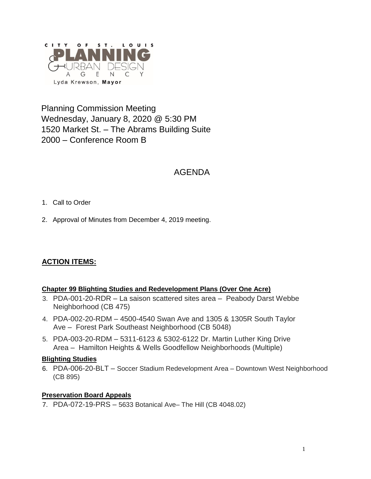

Planning Commission Meeting Wednesday, January 8, 2020 @ 5:30 PM 1520 Market St. – The Abrams Building Suite 2000 – Conference Room B

## AGENDA

- 1. Call to Order
- 2. Approval of Minutes from December 4, 2019 meeting.

## **ACTION ITEMS:**

#### **Chapter 99 Blighting Studies and Redevelopment Plans (Over One Acre)**

- 3. PDA-001-20-RDR La saison scattered sites area Peabody Darst Webbe Neighborhood (CB 475)
- 4. PDA-002-20-RDM 4500-4540 Swan Ave and 1305 & 1305R South Taylor Ave – Forest Park Southeast Neighborhood (CB 5048)
- 5. PDA-003-20-RDM 5311-6123 & 5302-6122 Dr. Martin Luther King Drive Area – Hamilton Heights & Wells Goodfellow Neighborhoods (Multiple)

#### **Blighting Studies**

6. PDA-006-20-BLT – Soccer Stadium Redevelopment Area – Downtown West Neighborhood (CB 895)

#### **Preservation Board Appeals**

7. PDA-072-19-PRS – 5633 Botanical Ave– The Hill (CB 4048.02)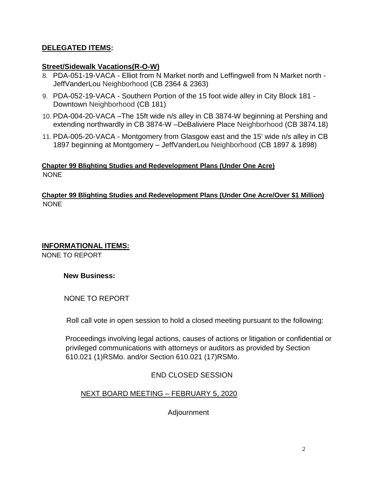### **DELEGATED ITEMS:**

#### **Street/Sidewalk Vacations(R-O-W)**

- 8. PDA-051-19-VACA Elliot from N Market north and Leffingwell from N Market north JeffVanderLou Neighborhood (CB 2364 & 2363)
- 9. PDA-052-19-VACA Southern Portion of the 15 foot wide alley in City Block 181 Downtown Neighborhood (CB 181)
- 10. PDA-004-20-VACA –The 15ft wide n/s alley in CB 3874-W beginning at Pershing and extending northwardly in CB 3874-W –DeBaliviere Place Neighborhood (CB 3874.18)
- 11. PDA-005-20-VACA Montgomery from Glasgow east and the 15' wide n/s alley in CB 1897 beginning at Montgomery – JeffVanderLou Neighborhood (CB 1897 & 1898)

#### **Chapter 99 Blighting Studies and Redevelopment Plans (Under One Acre)**  NONE

#### **Chapter 99 Blighting Studies and Redevelopment Plans (Under One Acre/Over \$1 Million)**  NONE

#### **INFORMATIONAL ITEMS:**

NONE TO REPORT

#### **New Business:**

NONE TO REPORT

Roll call vote in open session to hold a closed meeting pursuant to the following:

Proceedings involving legal actions, causes of actions or litigation or confidential or privileged communications with attorneys or auditors as provided by Section 610.021 (1)RSMo. and/or Section 610.021 (17)RSMo.

END CLOSED SESSION

NEXT BOARD MEETING – FEBRUARY 5, 2020

Adjournment